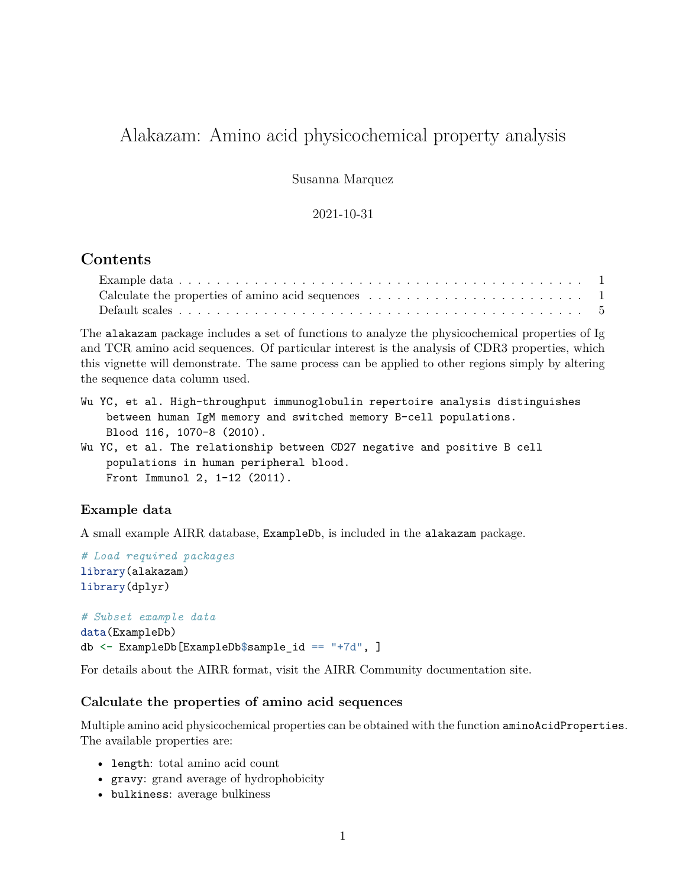# Alakazam: Amino acid physicochemical property analysis

Susanna Marquez

### 2021-10-31

### **Contents**

| Calculate the properties of amino acid sequences $\dots \dots \dots \dots \dots \dots \dots \dots \dots$ |  |  |  |  |  |  |  |  |  |  |
|----------------------------------------------------------------------------------------------------------|--|--|--|--|--|--|--|--|--|--|
|                                                                                                          |  |  |  |  |  |  |  |  |  |  |

The alakazam package includes a set of functions to analyze the physicochemical properties of Ig and TCR amino acid sequences. Of particular interest is the analysis of CDR3 properties, which this vignette will demonstrate. The same process can be applied to other regions simply by altering the sequence data column used.

- Wu YC, et al. High-throughput immunoglobulin repertoire analysis distinguishes between human IgM memory and switched memory B-cell populations. Blood 116, 1070-8 (2010).
- Wu YC, et al. The relationship between CD27 negative and positive B cell populations in human peripheral blood. Front Immunol 2, 1-12 (2011).

### <span id="page-0-0"></span>**Example data**

A small example AIRR database, ExampleDb, is included in the alakazam package.

```
# Load required packages
library(alakazam)
library(dplyr)
```
*# Subset example data* data(ExampleDb) db <- ExampleDb[ExampleDb\$sample\_id == "+7d", ]

For details about the AIRR format, visit the [AIRR Community documentation site.](https://docs.airr-community.org/en/stable/datarep/rearrangements.html)

#### <span id="page-0-1"></span>**Calculate the properties of amino acid sequences**

Multiple amino acid physicochemical properties can be obtained with the function aminoAcidProperties. The available properties are:

- length: total amino acid count
- gravy: grand average of hydrophobicity
- bulkiness: average bulkiness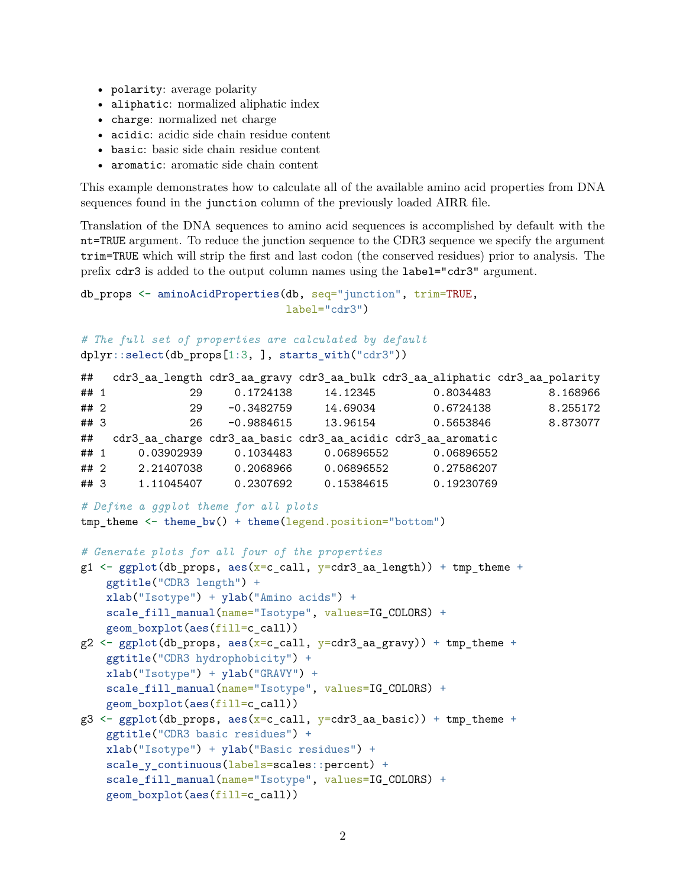- polarity: average polarity
- aliphatic: normalized aliphatic index
- charge: normalized net charge
- acidic: acidic side chain residue content
- basic: basic side chain residue content
- aromatic: aromatic side chain content

This example demonstrates how to calculate all of the available amino acid properties from DNA sequences found in the junction column of the previously loaded AIRR file.

Translation of the DNA sequences to amino acid sequences is accomplished by default with the nt=TRUE argument. To reduce the junction sequence to the CDR3 sequence we specify the argument trim=TRUE which will strip the first and last codon (the conserved residues) prior to analysis. The prefix cdr3 is added to the output column names using the label="cdr3" argument.

```
db_props <- aminoAcidProperties(db, seq="junction", trim=TRUE,
                                label="cdr3")
# The full set of properties are calculated by default
dplyr::select(db_props[1:3, ], starts_with("cdr3"))
```

| 8.168966 |
|----------|
|          |
| 8.255172 |
| 8.873077 |
|          |
|          |
|          |
|          |
|          |

```
# Define a ggplot theme for all plots
```

```
tmp\_theme \leftarrow theme_bw() + theme(legend.position="bottom")
```

```
# Generate plots for all four of the properties
```

```
g1 \leq ggplot(db_props, aes(x=c_call, y=cdr3_aa_length)) + tmp_theme +
    ggtitle("CDR3 length") +
    xlab("Isotype") + ylab("Amino acids") +
    scale_fill_manual(name="Isotype", values=IG_COLORS) +
    geom_boxplot(aes(fill=c_call))
```

```
g2 \leftarrow ggplot(db\_props, aes(x=c_call, y=cdr3_aagravy)) + tmp_theme +ggtitle("CDR3 hydrophobicity") +
    xlab("Isotype") + ylab("GRAVY") +
    scale_fill_manual(name="Isotype", values=IG_COLORS) +
    geom_boxplot(aes(fill=c_call))
```
 $g3 \leq g$ gplot(db\_props, aes(x=c\_call, y=cdr3\_aa\_basic)) + tmp\_theme + ggtitle("CDR3 basic residues") + xlab("Isotype") + ylab("Basic residues") + scale\_y\_continuous(labels=scales::percent) + scale\_fill\_manual(name="Isotype", values=IG\_COLORS) + geom\_boxplot(aes(fill=c\_call))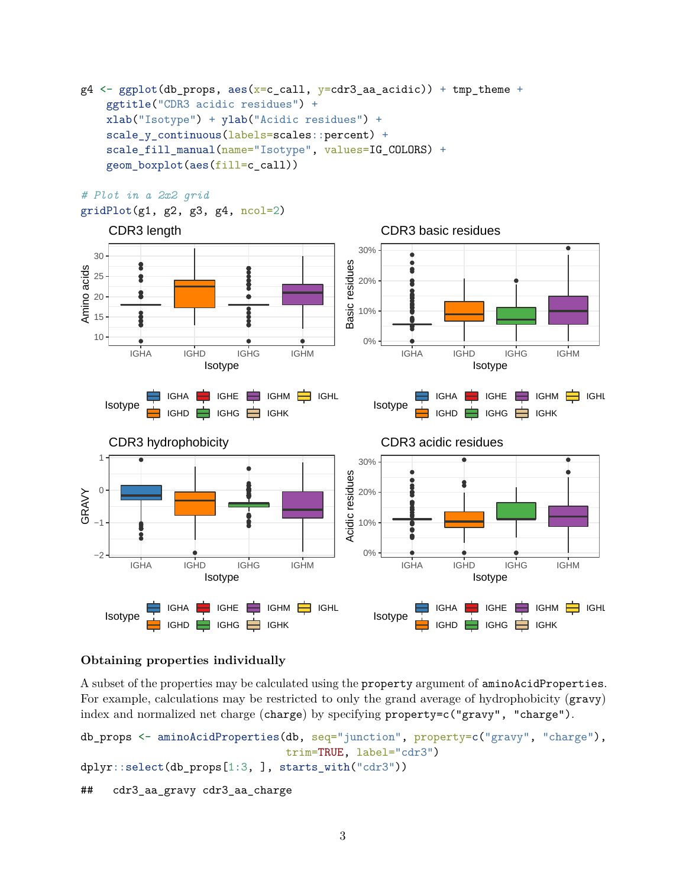```
g4 \leftarrow ggplot(db\_props, aes(x=call, y=cdr3_aacacidic)) + tmp_theme +ggtitle("CDR3 acidic residues") +
    xlab("Isotype") + ylab("Acidic residues") +
    scale_y_continuous(labels=scales::percent) +
    scale fill manual(name="Isotype", values=IG COLORS) +
    geom_boxplot(aes(fill=c_call))
```

```
# Plot in a 2x2 grid
```

```
gridPlot(g1, g2, g3, g4, ncol=2)
```


### **Obtaining properties individually**

A subset of the properties may be calculated using the property argument of aminoAcidProperties. For example, calculations may be restricted to only the grand average of hydrophobicity (gravy) index and normalized net charge (charge) by specifying property=c("gravy", "charge").

```
db_props <- aminoAcidProperties(db, seq="junction", property=c("gravy", "charge"),
                                trim=TRUE, label="cdr3")
dplyr::select(db_props[1:3, ], starts_with("cdr3"))
## cdr3_aa_gravy cdr3_aa_charge
```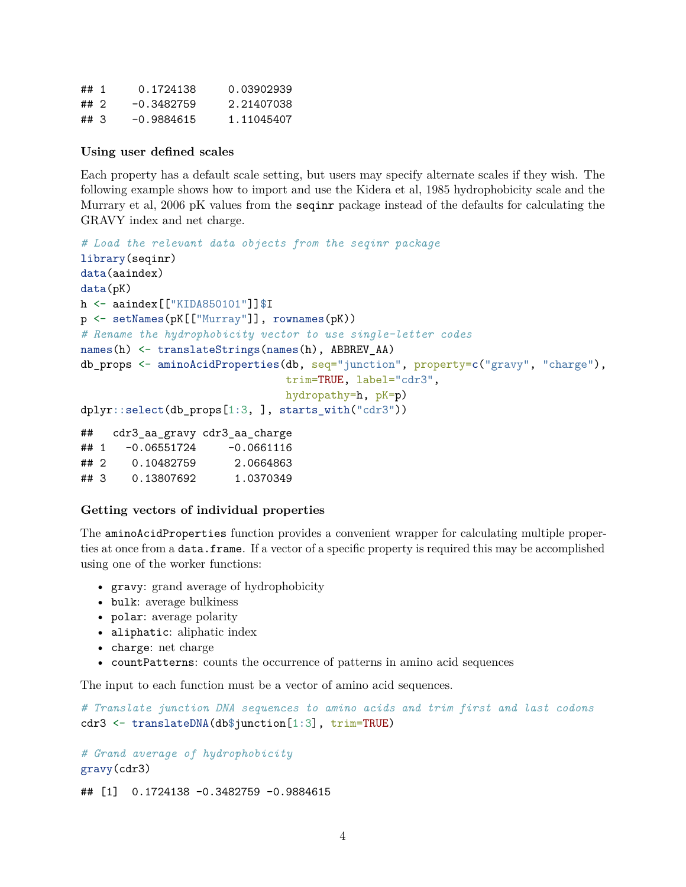| ##1  | 0.1724138    | 0.03902939 |
|------|--------------|------------|
| ## 2 | $-0.3482759$ | 2.21407038 |
| ##3  | $-0.9884615$ | 1.11045407 |

#### **Using user defined scales**

Each property has a default scale setting, but users may specify alternate scales if they wish. The following example shows how to import and use the Kidera et al, 1985 hydrophobicity scale and the Murrary et al, 2006 pK values from the seqinr package instead of the defaults for calculating the GRAVY index and net charge.

```
# Load the relevant data objects from the seqinr package
library(seqinr)
data(aaindex)
data(pK)
h <- aaindex[["KIDA850101"]]$I
p <- setNames(pK[["Murray"]], rownames(pK))
# Rename the hydrophobicity vector to use single-letter codes
names(h) <- translateStrings(names(h), ABBREV_AA)
db_props <- aminoAcidProperties(db, seq="junction", property=c("gravy", "charge"),
                               trim=TRUE, label="cdr3",
                               hydropathy=h, pK=p)
dplyr::select(db_props[1:3, ], starts_with("cdr3"))
## cdr3_aa_gravy cdr3_aa_charge
\## 1 -0.06551724 -0.0661116
## 2 0.10482759 2.0664863
```
## **Getting vectors of individual properties**

## 3 0.13807692 1.0370349

The aminoAcidProperties function provides a convenient wrapper for calculating multiple properties at once from a data.frame. If a vector of a specific property is required this may be accomplished using one of the worker functions:

- gravy: grand average of hydrophobicity
- bulk: average bulkiness
- polar: average polarity
- aliphatic: aliphatic index
- charge: net charge
- countPatterns: counts the occurrence of patterns in amino acid sequences

The input to each function must be a vector of amino acid sequences.

```
# Translate junction DNA sequences to amino acids and trim first and last codons
cdr3 <- translateDNA(db$junction[1:3], trim=TRUE)
```
*# Grand average of hydrophobicity* gravy(cdr3)

## [1] 0.1724138 -0.3482759 -0.9884615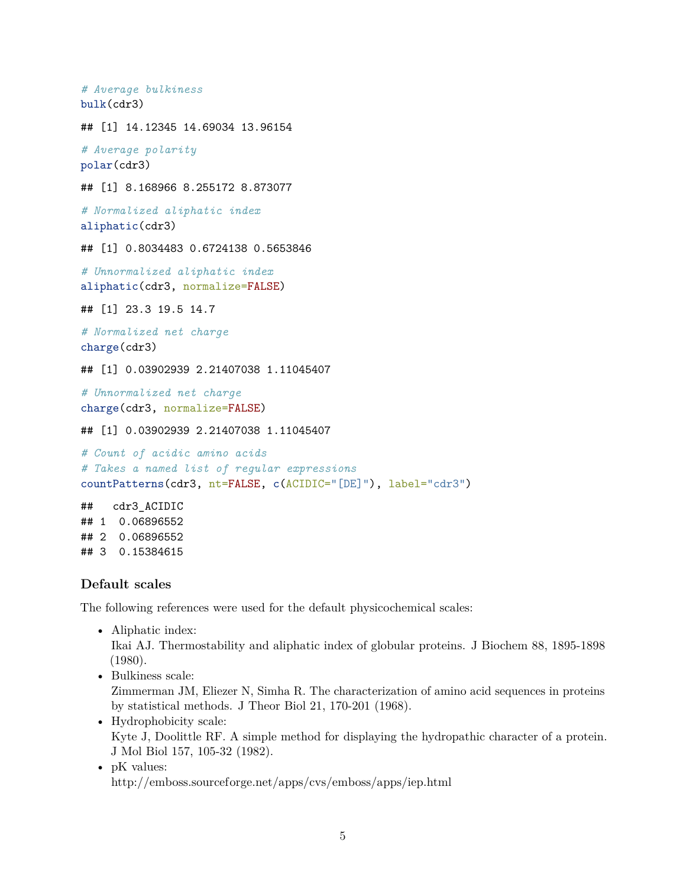```
# Average bulkiness
bulk(cdr3)
## [1] 14.12345 14.69034 13.96154
# Average polarity
polar(cdr3)
## [1] 8.168966 8.255172 8.873077
# Normalized aliphatic index
aliphatic(cdr3)
## [1] 0.8034483 0.6724138 0.5653846
# Unnormalized aliphatic index
aliphatic(cdr3, normalize=FALSE)
## [1] 23.3 19.5 14.7
# Normalized net charge
charge(cdr3)
## [1] 0.03902939 2.21407038 1.11045407
# Unnormalized net charge
charge(cdr3, normalize=FALSE)
## [1] 0.03902939 2.21407038 1.11045407
# Count of acidic amino acids
# Takes a named list of regular expressions
countPatterns(cdr3, nt=FALSE, c(ACIDIC="[DE]"), label="cdr3")
## cdr3_ACIDIC
## 1 0.06896552
## 2 0.06896552
## 3 0.15384615
```
### <span id="page-4-0"></span>**Default scales**

The following references were used for the default physicochemical scales:

• Aliphatic index:

Ikai AJ. Thermostability and aliphatic index of globular proteins. J Biochem 88, 1895-1898 (1980).

• Bulkiness scale:

Zimmerman JM, Eliezer N, Simha R. The characterization of amino acid sequences in proteins by statistical methods. J Theor Biol 21, 170-201 (1968).

- Hydrophobicity scale: Kyte J, Doolittle RF. A simple method for displaying the hydropathic character of a protein. J Mol Biol 157, 105-32 (1982).
- pK values: <http://emboss.sourceforge.net/apps/cvs/emboss/apps/iep.html>